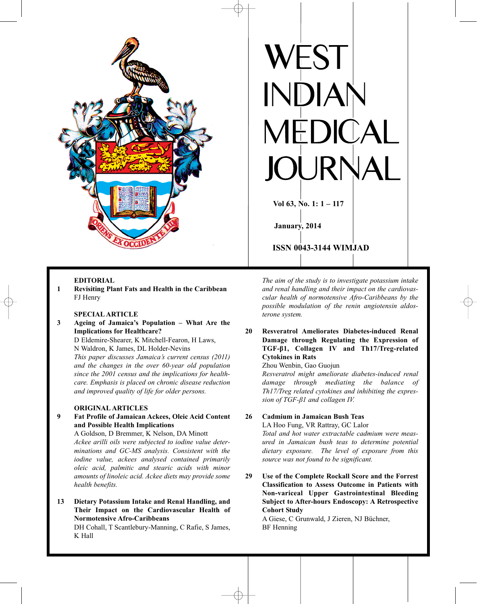

### **EDITORIAL**

**1 Revisiting Plant Fats and Health in the Caribbean** FJ Henry

### **SPECIAL ARTICLE**

**3 Ageing of Jamaica's Population – What Are the Implications for Healthcare?** D Eldemire-Shearer, K Mitchell-Fearon, H Laws,

N Waldron, K James, DL Holder-Nevins *This paper discusses Jamaica's current census (2011) and the changes in the over 60-year old population since the 2001 census and the implications for healthcare. Emphasis is placed on chronic disease reduction and improved quality of life for older persons.*

#### **ORIGINAL ARTICLES**

**9 Fat Profile of Jamaican Ackees, Oleic Acid Content and Possible Health Implications**

A Goldson, D Bremmer, K Nelson, DA Minott *Ackee arilli oils were subjected to iodine value determinations and GC-MS analysis. Consistent with the iodine value, ackees analysed contained primarily oleic acid, palmitic and stearic acids with minor amounts of linoleic acid. Ackee diets may provide some health benefits.*

**13 Dietary Potassium Intake and Renal Handling, and Their Impact on the Cardiovascular Health of Normotensive Afro-Caribbeans**

DH Cohall, T Scantlebury-Manning, C Rafie, S James, K Hall



*The aim of the study is to investigate potassium intake and renal handling and their impact on the cardiovascular health of normotensive Afro-Caribbeans by the possible modulation of the renin angiotensin aldosterone system.*

**20 Resveratrol Ameliorates Diabetes-induced Renal Damage through Regulating the Expression of TGF-β1, Collagen IV and Th17/Treg-related Cytokines in Rats**

## Zhou Wenbin, Gao Guojun

*Resveratrol might ameliorate diabetes-induced renal damage through mediating the balance of Th17/Treg related cytokines and inhibiting the expression of TGF-β1 and collagen IV.*

**26 Cadmium in Jamaican Bush Teas** LA Hoo Fung, VR Rattray, GC Lalor

*Total and hot water extractable cadmium were measured in Jamaican bush teas to determine potential dietary exposure. The level of exposure from this source was not found to be significant.*

**29 Use of the Complete Rockall Score and the Forrest Classification to Assess Outcome in Patients with Non-variceal Upper Gastrointestinal Bleeding Subject to After-hours Endoscopy: A Retrospective Cohort Study**

A Giese, C Grunwald, J Zieren, NJ Büchner, BF Henning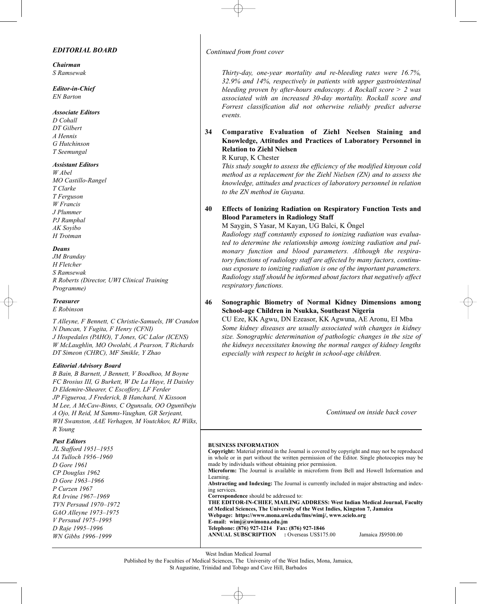### *EDITORIAL BOARD*

*Chairman S Ramsewak*

*Editor-in-Chief EN Barton*

#### *Associate Editors*

*D Cohall DT Gilbert A Hennis G Hutchinson T Seemungal*

### *Assistant Editors*

*W Abel MO Castillo-Rangel T Clarke T Ferguson W Francis J Plummer PJ Ramphal AK Soyibo H Trotman*

### *Deans*

*JM Branday H Fletcher S Ramsewak R Roberts (Director, UWI Clinical Training Programme)*

### *Treasurer*

*E Robinson*

*T Alleyne, F Bennett, C Christie-Samuels, IW Crandon N Duncan, Y Fugita, F Henry (CFNI) J Hospedales (PAHO), T Jones, GC Lalor (ICENS) W McLaughlin, MO Owolabi, A Pearson, T Richards DT Simeon (CHRC), MF Smikle, Y Zhao*

#### *Editorial Advisory Board*

*B Bain, B Barnett, J Bennett, V Boodhoo, M Boyne FC Brosius III, G Burkett, W De La Haye, H Daisley D Eldemire-Shearer, C Escoffery, LF Ferder JP Figueroa, J Frederick, B Hanchard, N Kissoon M Lee, A McCaw-Binns, C Ogunsalu, OO Oguntibeju A Ojo, H Reid, M Samms-Vaughan, GR Serjeant, WH Swanston, AAE Verhagen, M Voutchkov, RJ Wilks, R Young*

#### *Past Editors*

*JL Stafford 1951–1955 JA Tulloch 1956–1960 D Gore 1961 CP Douglas 1962 D Gore 1963–1966 P Curzen 1967 RA Irvine 1967–1969 TVN Persaud 1970–1972 GAO Alleyne 1973–1975 V Persaud 1975–1995 D Raje 1995–1996 WN Gibbs 1996–1999*

*Continued from front cover*

*Thirty-day, one-year mortality and re-bleeding rates were 16.7%, 32.9% and 14%, respectively in patients with upper gastrointestinal bleeding proven by after-hours endoscopy. A Rockall score > 2 was associated with an increased 30-day mortality. Rockall score and Forrest classification did not otherwise reliably predict adverse events.*

# **34 Comparative Evaluation of Ziehl Neelsen Staining and Knowledge, Attitudes and Practices of Laboratory Personnel in Relation to Ziehl Nielsen**

R Kurup, K Chester

*This study sought to assess the efficiency of the modified kinyoun cold method as a replacement for the Ziehl Nielsen (ZN) and to assess the knowledge, attitudes and practices of laboratory personnel in relation to the ZN method in Guyana.*

# **40 Effects of Ionizing Radiation on Respiratory Function Tests and Blood Parameters in Radiology Staff**

M Saygin, S Yasar, M Kayan, UG Balci, K Öngel

*Radiology staff constantly exposed to ionizing radiation was evaluated to determine the relationship among ionizing radiation and pulmonary function and blood parameters. Although the respiratory functions of radiology staff are affected by many factors, continuous exposure to ionizing radiation is one of the important parameters. Radiology staff should be informed about factors that negatively affect respiratory functions.*

**46 Sonographic Biometry of Normal Kidney Dimensions among School-age Children in Nsukka, Southeast Nigeria**

CU Eze, KK Agwu, DN Ezeasor, KK Agwuna, AE Aronu, EI Mba *Some kidney diseases are usually associated with changes in kidney size. Sonographic determination of pathologic changes in the size of the kidneys necessitates knowing the normal ranges of kidney lengths especially with respect to height in school-age children.*

*Continued on inside back cover*

#### **BUSINESS INFORMATION**

**Copyright:** Material printed in the Journal is covered by copyright and may not be reproduced in whole or in part without the written permission of the Editor. Single photocopies may be made by individuals without obtaining prior permission. **Microform:** The Journal is available in microform from Bell and Howell Information and Learning.

**Abstracting and Indexing:** The Journal is currently included in major abstracting and indexing services.

**Correspondence** should be addressed to:

**THE EDITOR-IN-CHIEF, MAILING ADDRESS: West Indian Medical Journal, Faculty of Medical Sciences, The University of the West Indies, Kingston 7, Jamaica Webpage: https://www.mona.uwi.edu/fms/wimj/, www.scielo.org**

**E-mail: wimj@uwimona.edu.jm**

**Telephone: (876) 927-1214 Fax: (876) 927-1846 ANNUAL SUBSCRIPTION** : Overseas US\$175.00 Jamaica J\$9500.00

West Indian Medical Journal

Published by the Faculties of Medical Sciences, The University of the West Indies, Mona, Jamaica, St Augustine, Trinidad and Tobago and Cave Hill, Barbados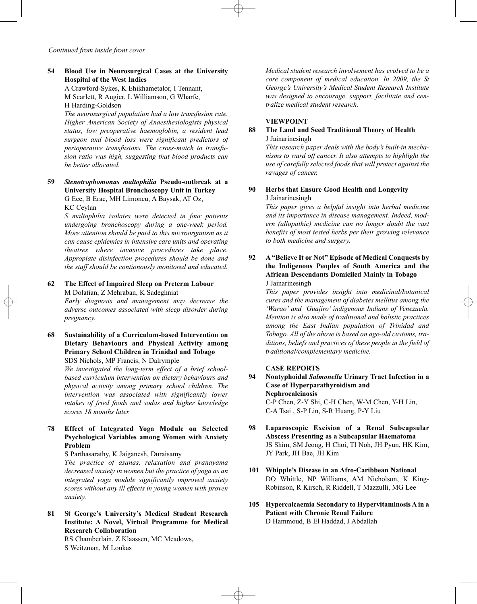# **54 Blood Use in Neurosurgical Cases at the University Hospital of the West Indies**

A Crawford-Sykes, K Ehikhametalor, I Tennant, M Scarlett, R Augier, L Williamson, G Wharfe, H Harding-Goldson

*The neurosurgical population had a low transfusion rate. Higher American Society of Anaesthesiologists physical status, low preoperative haemoglobin, a resident lead surgeon and blood loss were significant predictors of perioperative transfusions. The cross-match to transfusion ratio was high, suggesting that blood products can be better allocated.*

## **59** *Stenotrophomonas maltophilia* **Pseudo-outbreak at a University Hospital Bronchoscopy Unit in Turkey** G Ece, B Erac, MH Limoncu, A Baysak, AT Oz, KC Ceylan

*S maltophilia isolates were detected in four patients undergoing bronchoscopy during a one-week period. More attention should be paid to this microorganism as it can cause epidemics in intensive care units and operating theatres where invasive procedures take place. Appropiate disinfection procedures should be done and the staff should be contionously monitored and educated.*

# **62 The Effect of Impaired Sleep on Preterm Labour** M Dolatian, Z Mehraban, K Sadeghniat

*Early diagnosis and management may decrease the adverse outcomes associated with sleep disorder during pregnancy.*

# **68 Sustainability of a Curriculum-based Intervention on Dietary Behaviours and Physical Activity among Primary School Children in Trinidad and Tobago** SDS Nichols, MP Francis, N Dalrymple

*We investigated the long-term effect of a brief schoolbased curriculum intervention on dietary behaviours and physical activity among primary school children. The intervention was associated with significantly lower intakes of fried foods and sodas and higher knowledge scores 18 months later.*

# **78 Effect of Integrated Yoga Module on Selected Psychological Variables among Women with Anxiety Problem**

S Parthasarathy, K Jaiganesh, Duraisamy

*The practice of asanas, relaxation and pranayama decreased anxiety in women but the practice of yoga as an integrated yoga module significantly improved anxiety scores without any ill effects in young women with proven anxiety.*

**81 St George's University's Medical Student Research Institute: A Novel, Virtual Programme for Medical Research Collaboration**

RS Chamberlain, Z Klaassen, MC Meadows, S Weitzman, M Loukas

*Medical student research involvement has evolved to be a core component of medical education. In 2009, the St George's University's Medical Student Research Institute was designed to encourage, support, facilitate and centralize medical student research.*

### **VIEWPOINT**

### **88 The Land and Seed Traditional Theory of Health** J Jainarinesingh

*This research paper deals with the body's built-in mechanisms to ward off cancer. It also attempts to highlight the use of carefully selected foods that will protect against the ravages of cancer.*

### **90 Herbs that Ensure Good Health and Longevity** J Jainarinesingh

*This paper gives a helpful insight into herbal medicine and its importance in disease management. Indeed, modern (allopathic) medicine can no longer doubt the vast benefits of most tested herbs per their growing relevance to both medicine and surgery.*

## **92 A "Believe It or Not" Episode of Medical Conquests by the Indigenous Peoples of South America and the African Descendants Domiciled Mainly in Tobago** J Jainarinesingh

*This paper provides insight into medicinal/botanical cures and the management of diabetes mellitus among the 'Warao' and 'Guajiro' indigenous Indians of Venezuela. Mention is also made of traditional and holistic practices among the East Indian population of Trinidad and Tobago. All of the above is based on age-old customs, traditions, beliefs and practices of these people in the field of traditional/complementary medicine.*

#### **CASE REPORTS**

- **94 Nontyphoidal** *Salmonella* **Urinary Tract Infection in a Case of Hyperparathyroidism and Nephrocalcinosis** C-P Chen, Z-Y Shi, C-H Chen, W-M Chen, Y-H Lin, C-A Tsai , S-P Lin, S-R Huang, P-Y Liu
- **98 Laparoscopic Excision of a Renal Subcapsular Abscess Presenting as a Subcapsular Haematoma** JS Shim, SM Jeong, H Choi, TI Noh, JH Pyun, HK Kim, JY Park, JH Bae, JH Kim
- **101 Whipple's Disease in an Afro-Caribbean National** DO Whittle, NP Williams, AM Nicholson, K King-Robinson, R Kirsch, R Riddell, T Mazzulli, MG Lee
- **105 Hypercalcaemia Secondary to Hypervitaminosis A in a Patient with Chronic Renal Failure** D Hammoud, B El Haddad, J Abdallah